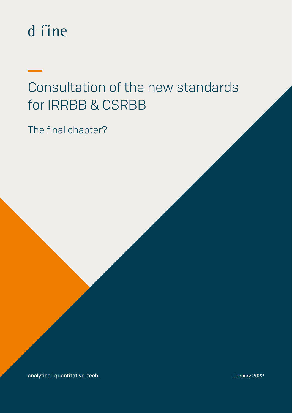# dfine

## Consultation of the new standards for IRRBB & CSRBB

The final chapter?

analytical. quantitative. tech. January 2022 analytical. Quantitative. tech. January 2022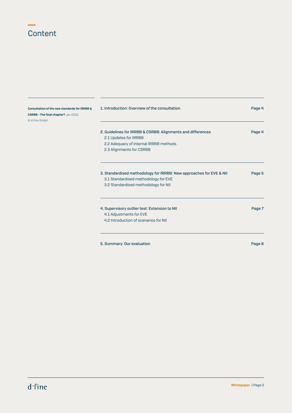### **Content**

| Consultation of the new standards for IRRBB &<br>CSRBB - The final chapter? Jan 2022, | 1. Introduction: Overview of the consultation                       | Page 4 |
|---------------------------------------------------------------------------------------|---------------------------------------------------------------------|--------|
| © d-fine GmbH                                                                         |                                                                     |        |
|                                                                                       |                                                                     |        |
|                                                                                       | 2. Guidelines for IRRBB & CSRBB: Alignments and differences         | Page 4 |
|                                                                                       | 2.1 Updates for IRRBB                                               |        |
|                                                                                       | 2.2 Adequacy of internal IRRBB methods                              |        |
|                                                                                       | 2.3 Alignments for CSRBB                                            |        |
|                                                                                       |                                                                     |        |
|                                                                                       | 3. Standardised methodology for IRRBB: New approaches for EVE & NII |        |
|                                                                                       | 3.1 Standardised methodology for EVE                                | Page 5 |
|                                                                                       | 3.2 Standardised methodology for NII                                |        |
|                                                                                       |                                                                     |        |
|                                                                                       | 4. Supervisory outlier test: Extension to NII                       | Page 7 |
|                                                                                       | 4.1 Adjustments for EVE                                             |        |
|                                                                                       | 4.2 Introduction of scenarios for NII                               |        |
|                                                                                       |                                                                     |        |
|                                                                                       | 5. Summary: Our evaluation                                          | Page 8 |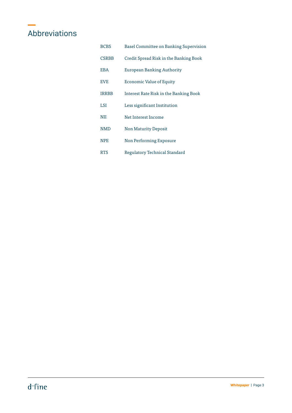### Abbreviations

| <b>BCBS</b>  | Basel Committee on Banking Supervision |
|--------------|----------------------------------------|
| <b>CSRBB</b> | Credit Spread Risk in the Banking Book |
| <b>EBA</b>   | European Banking Authority             |
| <b>EVE</b>   | Economic Value of Equity               |
| <b>IRRBB</b> | Interest Rate Risk in the Banking Book |
| LSI          | Less significant Institution           |
| NII          | Net Interest Income                    |
| <b>NMD</b>   | <b>Non Maturity Deposit</b>            |
| <b>NPE</b>   | Non Performing Exposure                |
| <b>RTS</b>   | Regulatory Technical Standard          |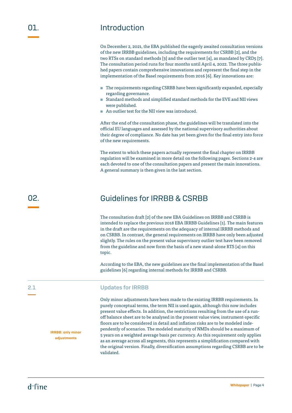### Introduction

On December 2, 2021, the EBA published the eagerly awaited consultation versions of the new IRRBB guidelines, including the requirements for CSRBB [2], and the two RTSs on standard methods [3] and the outlier test [4], as mandated by CRD5 [7]. The consultation period runs for four months until April 4, 2022. The three published papers contain comprehensive innovations and represent the final step in the implementation of the Basel requirements from 2016 [6]. Key innovations are:

- The requirements regarding CSRBB have been significantly expanded, especially regarding governance.
- Standard methods and simplified standard methods for the EVE and NII views were published.
- **▪** An outlier test for the NII view was introduced.

After the end of the consultation phase, the guidelines will be translated into the official EU languages and assessed by the national supervisory authorities about their degree of compliance. No date has yet been given for the final entry into force of the new requirements.

The extent to which these papers actually represent the final chapter on IRRBB regulation will be examined in more detail on the following pages. Sections 2-4 are each devoted to one of the consultation papers and present the main innovations. A general summary is then given in the last section.

### Guidelines for IRRBB & CSRBB

The consultation draft [2] of the new EBA Guidelines on IRRBB and CSRBB is intended to replace the previous 2018 EBA IRRBB Guidelines [1]. The main features in the draft are the requirements on the adequacy of internal IRRBB methods and on CSRBB. In contrast, the general requirements on IRRBB have only been adjusted slightly. The rules on the present value supervisory outlier test have been removed from the guideline and now form the basis of a new stand-alone RTS [4] on this topic.

According to the EBA, the new guidelines are the final implementation of the Basel guidelines [6] regarding internal methods for IRRBB and CSRBB.

#### Updates for IRRBB

Only minor adjustments have been made to the existing IRRBB requirements. In purely conceptual terms, the term NII is used again, although this now includes present value effects. In addition, the restrictions resulting from the use of a runoff balance sheet are to be analysed in the present value view, instrument-specific floors are to be considered in detail and inflation risks are to be modeled independently of scenarios. The modeled maturity of NMDs should be a maximum of 5 years on a weighted average basis per currency. As this requirement only applies as an average across all segments, this represents a simplification compared with the original version. Finally, diversification assumptions regarding CSRBB are to be validated.

02.

2.1

IRRBB: only minor adjustments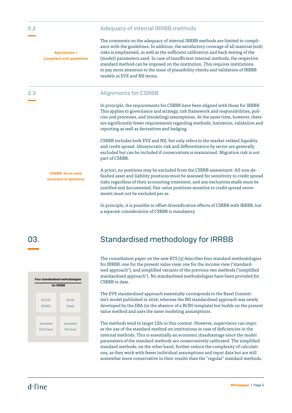|  | <b>Adequacy of internal IRRBB methods</b> |  |  |
|--|-------------------------------------------|--|--|
|--|-------------------------------------------|--|--|

Appropriate = Compliant with guidelines

CSRBB: No ex-ante exclusion of positions The comments on the adequacy of internal IRRBB methods are limited to compliance with the guidelines. In addition, the satisfactory coverage of all material (sub) risks is emphasised, as well as the sufficient calibration and back-testing of the (model) parameters used. In case of insufficient internal methods, the respective standard method can be imposed on the institution. This requires institutions to pay more attention to the issue of plausibility checks and validation of IRRBB models in EVE and NII terms.

#### Alignments for CSRBB

In principle, the requirements for CSRBB have been aligned with those for IRRBB. This applies to governance and strategy, risk framework and responsibilities, policies and processes, and (modeling) assumptions. At the same time, however, there are significantly fewer requirements regarding methods, limitation, validation and reporting as well as derivatives and hedging.

CSRBB includes both EVE and NII, but only refers to the market-related liquidity and credit spread. Idiosyncratic risk and differentiation by sector are generally excluded but can be included if conservatism is maintained. Migration risk is not part of CSRBB.

A priori, no positions may be excluded from the CSRBB assessment: All non-defaulted asset and liability positions must be assessed for sensitivity to credit spread risks regardless of their accounting treatment, and any exclusions made must be justified and documented. Fair value positions sensitive to credit spread movements must not be excluded per se.

In principle, it is possible to offset diversification effects of CSRBB with IRRBB, but a separate consideration of CSRBB is mandatory.

03.



### Standardised methodology for IRRBB

The consultation paper on the new RTS [3] describes four standard methodologies for IRRBB: one for the present value view, one for the income view ("standardised approach"), and simplified variants of the previous two methods ("simplified standardised approach"). No standardised methodologies have been provided for CSRBB to date.

The EVE standardised approach essentially corresponds to the Basel Committee's model published in 2016, whereas the NII standardised approach was newly developed by the EBA (in the absence of a BCBS template) but builds on the present value method and uses the same modeling assumptions.

The methods tend to target LSIs in this context. However, supervisors can impose the use of the standard method on institutions in case of deficiencies in the internal methods. This is essentially an economic disadvantage since the model parameters of the standard methods are conservatively calibrated. The simplified standard methods, on the other hand, further reduce the complexity of calculations, as they work with fewer individual assumptions and input data but are still somewhat more conservative in their results than the "regular" standard methods.

2.2

2.3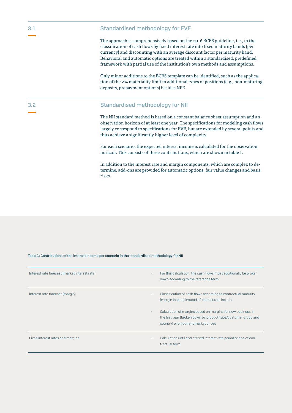#### Standardised methodology for EVE

The approach is comprehensively based on the 2016 BCBS guideline, i.e., in the classification of cash flows by fixed interest rate into fixed maturity bands (per currency) and discounting with an average discount factor per maturity band. Behavioral and automatic options are treated within a standardised, predefined framework with partial use of the institution's own methods and assumptions.

Only minor additions to the BCBS template can be identified, such as the application of the 2% materiality limit to additional types of positions (e.g., non-maturing deposits, prepayment options) besides NPE.

#### Standardised methodology for NII

The NII standard method is based on a constant balance sheet assumption and an observation horizon of at least one year. The specifications for modeling cash flows largely correspond to specifications for EVE, but are extended by several points and thus achieve a significantly higher level of complexity.

For each scenario, the expected interest income is calculated for the observation horizon. This consists of three contributions, which are shown in table 1.

In addition to the interest rate and margin components, which are complex to determine, add-ons are provided for automatic options, fair value changes and basis risks.

#### Table 1: Contributions of the interest income per scenario in the standardised methodology for NII

| Interest rate forecast (market interest rate) | For this calculation, the cash flows must additionally be broken                                                                                                     |
|-----------------------------------------------|----------------------------------------------------------------------------------------------------------------------------------------------------------------------|
| ٠.                                            | down according to the reference term                                                                                                                                 |
| Interest rate forecast (margin)               | Classification of cash flows according to contractual maturity                                                                                                       |
| ٠.                                            | (margin lock-in) instead of interest rate lock-in                                                                                                                    |
| ٠.                                            | Calculation of margins based on margins for new business in<br>the last year (broken down by product type/customer group and<br>country) or on current market prices |
| Fixed interest rates and margins              | Calculation until end of fixed interest rate period or end of con-                                                                                                   |
|                                               | tractual term                                                                                                                                                        |

3.2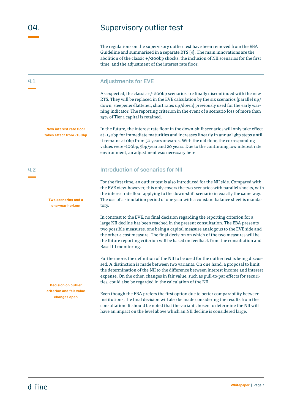4.1

### Supervisory outlier test

The regulations on the supervisory outlier test have been removed from the EBA Guideline and summarised in a separate RTS [4]. The main innovations are the abolition of the classic +/-200bp shocks, the inclusion of NII scenarios for the first time, and the adjustment of the interest rate floor.

#### Adjustments for EVE

As expected, the classic +/- 200bp scenarios are finally discontinued with the new RTS. They will be replaced in the EVE calculation by the six scenarios (parallel up/ down, steepener/flattener, short rates up/down) previously used for the early warning indicator. The reporting criterion in the event of a scenario loss of more than 15% of Tier 1 capital is retained.

In the future, the interest rate floor in the down-shift scenarios will only take effect at -150bp for immediate maturities and increases linearly in annual 3bp steps until it remains at 0bp from 50 years onwards. With the old floor, the corresponding values were -100bp, 5bp/year and 20 years. Due to the continuing low interest rate environment, an adjustment was necessary here. New interest rate floor takes effect from -150bp

#### Introduction of scenarios for NII

For the first time, an outlier test is also introduced for the NII side. Compared with the EVE view, however, this only covers the two scenarios with parallel shocks, with the interest rate floor applying to the down-shift scenario in exactly the same way. The use of a simulation period of one year with a constant balance sheet is mandatory.

In contrast to the EVE, no final decision regarding the reporting criterion for a large NII decline has been reached in the present consultation. The EBA presents two possible measures, one being a capital measure analogous to the EVE side and the other a cost measure. The final decision on which of the two measures will be the future reporting criterion will be based on feedback from the consultation and Basel III monitoring.

Furthermore, the definition of the NII to be used for the outlier test is being discussed. A distinction is made between two variants. On one hand, a proposal to limit the determination of the NII to the difference between interest income and interest expense. On the other, changes in fair value, such as pull-to-par effects for securities, could also be regarded in the calculation of the NII.

Even though the EBA prefers the first option due to better comparability between institutions, the final decision will also be made considering the results from the consultation. It should be noted that the variant chosen to determine the NII will have an impact on the level above which an NII decline is considered large.

4.2

Two scenarios and a one-year horizon

Decision on outlier criterion and fair value changes open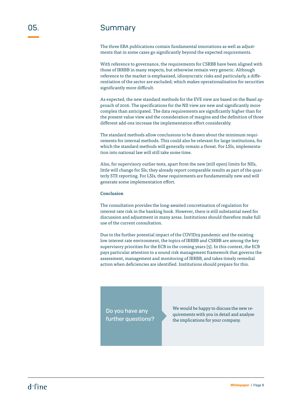### **Summary**

The three EBA publications contain fundamental innovations as well as adjustments that in some cases go significantly beyond the expected requirements.

With reference to governance, the requirements for CSRBB have been aligned with those of IRRBB in many respects, but otherwise remain very generic. Although reference to the market is emphasised, idiosyncratic risks and particularly, a differentiation of the sector are excluded; which makes operationalisation for securities significantly more difficult.

As expected, the new standard methods for the EVE view are based on the Basel approach of 2016. The specifications for the NII view are new and significantly more complex than anticipated. The data requirements are significantly higher than for the present value view and the consideration of margins and the definition of three different add-ons increase the implementation effort considerably.

The standard methods allow conclusions to be drawn about the minimum requirements for internal methods. This could also be relevant for large institutions, for which the standard methods will generally remain a threat. For LSIs, implementation into national law will still take some time.

Also, for supervisory outlier tests, apart from the new (still open) limits for NIIs, little will change for SIs; they already report comparable results as part of the quarterly STE reporting. For LSIs, these requirements are fundamentally new and will generate some implementation effort.

#### Conclusion

The consultation provides the long-awaited concretisation of regulation for interest rate risk in the banking book. However, there is still substantial need for discussion and adjustment in many areas. Institutions should therefore make full use of the current consultation.

Due to the further potential impact of the COVID19 pandemic and the existing low interest rate environment, the topics of IRRBB and CSRBB are among the key supervisory priorities for the ECB in the coming years [5]. In this context, the ECB pays particular attention to a sound risk management framework that governs the assessment, management and monitoring of IRRBB, and takes timely remedial action when deficiencies are identified. Institutions should prepare for this.

Do you have any further questions? We would be happy to discuss the new requirements with you in detail and analyse the implications for your company.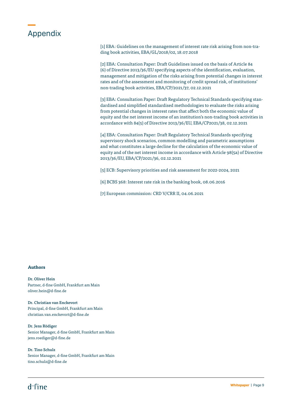### Appendix

[1] EBA: Guidelines on the management of interest rate risk arising from non-trading book activities, EBA/GL/2018/02, 18.07.2018

[2] EBA: Consultation Paper: Draft Guidelines issued on the basis of Article 84 (6) of Directive 2013/36/EU specifying aspects of the identification, evaluation, management and mitigation of the risks arising from potential changes in interest rates and of the assessment and monitoring of credit spread risk, of institutions' non-trading book activities, EBA/CP/2021/37, 02.12.2021

[3] EBA: Consultation Paper: Draft Regulatory Technical Standards specifying standardised and simplified standardised methodologies to evaluate the risks arising from potential changes in interest rates that affect both the economic value of equity and the net interest income of an institution's non-trading book activities in accordance with 84(5) of Directive 2013/36/EU, EBA/CP2021/38, 02.12.2021

[4] EBA: Consultation Paper: Draft Regulatory Technical Standards specifying supervisory shock scenarios, common modelling and parametric assumptions and what constitutes a large decline for the calculation of the economic value of equity and of the net interest income in accordance with Article 98(5a) of Directive 2013/36/EU, EBA/CP/2021/36, 02.12.2021

[5] ECB: Supervisory priorities and risk assessment for 2022-2024, 2021

[6] BCBS 368: Interest rate risk in the banking book, 08.06.2016

[7] European commission: CRD V/CRR II, 04.06.2021

#### **Authors**

Dr. Oliver Hein Partner, d-fine GmbH, Frankfurt am Main oliver.hein@d-fine.de

Dr. Christian van Enckevort Principal, d-fine GmbH, Frankfurt am Main christian.van.enckevort@d-fine.de

Dr. Jens Rödiger Senior Manager, d-fine GmbH, Frankfurt am Main jens.roediger@d-fine.de

Dr. Tino Schulz Senior Manager, d-fine GmbH, Frankfurt am Main tino.schulz@d-fine.de